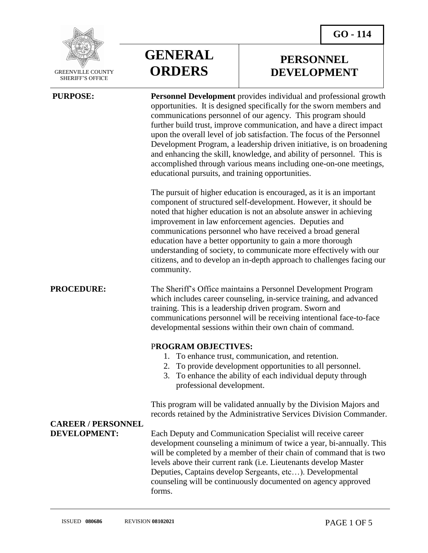

**SHERI** 

| VILLE COUNTY<br><b>IFF'S OFFICE</b> | <b>ORDERS</b> |
|-------------------------------------|---------------|
|                                     |               |

**GENERAL**

**PERSONNEL DEVELOPMENT**

| <b>PURPOSE:</b>                                  | <b>Personnel Development</b> provides individual and professional growth<br>opportunities. It is designed specifically for the sworn members and<br>communications personnel of our agency. This program should<br>further build trust, improve communication, and have a direct impact<br>upon the overall level of job satisfaction. The focus of the Personnel<br>Development Program, a leadership driven initiative, is on broadening<br>and enhancing the skill, knowledge, and ability of personnel. This is<br>accomplished through various means including one-on-one meetings,<br>educational pursuits, and training opportunities. |
|--------------------------------------------------|-----------------------------------------------------------------------------------------------------------------------------------------------------------------------------------------------------------------------------------------------------------------------------------------------------------------------------------------------------------------------------------------------------------------------------------------------------------------------------------------------------------------------------------------------------------------------------------------------------------------------------------------------|
|                                                  | The pursuit of higher education is encouraged, as it is an important<br>component of structured self-development. However, it should be<br>noted that higher education is not an absolute answer in achieving<br>improvement in law enforcement agencies. Deputies and<br>communications personnel who have received a broad general<br>education have a better opportunity to gain a more thorough<br>understanding of society, to communicate more effectively with our<br>citizens, and to develop an in-depth approach to challenges facing our<br>community.                                                                             |
| <b>PROCEDURE:</b>                                | The Sheriff's Office maintains a Personnel Development Program<br>which includes career counseling, in-service training, and advanced<br>training. This is a leadership driven program. Sworn and<br>communications personnel will be receiving intentional face-to-face<br>developmental sessions within their own chain of command.                                                                                                                                                                                                                                                                                                         |
|                                                  | <b>PROGRAM OBJECTIVES:</b><br>To enhance trust, communication, and retention.<br>To provide development opportunities to all personnel.<br>2.<br>To enhance the ability of each individual deputy through<br>3.<br>professional development.                                                                                                                                                                                                                                                                                                                                                                                                  |
| <b>CAREER / PERSONNEL</b><br><b>DEVELOPMENT:</b> | This program will be validated annually by the Division Majors and<br>records retained by the Administrative Services Division Commander.                                                                                                                                                                                                                                                                                                                                                                                                                                                                                                     |
|                                                  | Each Deputy and Communication Specialist will receive career<br>development counseling a minimum of twice a year, bi-annually. This<br>will be completed by a member of their chain of command that is two<br>levels above their current rank (i.e. Lieutenants develop Master<br>Deputies, Captains develop Sergeants, etc). Developmental<br>counseling will be continuously documented on agency approved<br>forms.                                                                                                                                                                                                                        |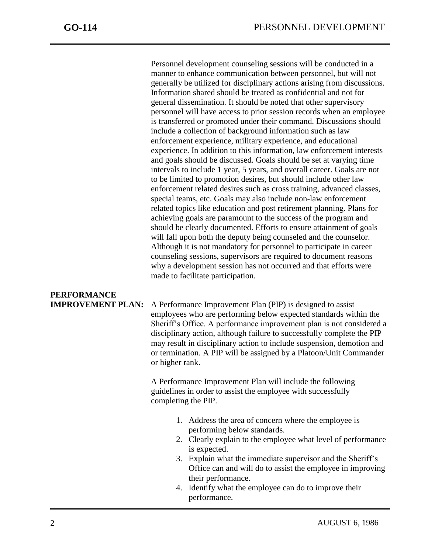j

Personnel development counseling sessions will be conducted in a manner to enhance communication between personnel, but will not generally be utilized for disciplinary actions arising from discussions. Information shared should be treated as confidential and not for general dissemination. It should be noted that other supervisory personnel will have access to prior session records when an employee is transferred or promoted under their command. Discussions should include a collection of background information such as law enforcement experience, military experience, and educational experience. In addition to this information, law enforcement interests and goals should be discussed. Goals should be set at varying time intervals to include 1 year, 5 years, and overall career. Goals are not to be limited to promotion desires, but should include other law enforcement related desires such as cross training, advanced classes, special teams, etc. Goals may also include non-law enforcement related topics like education and post retirement planning. Plans for achieving goals are paramount to the success of the program and should be clearly documented. Efforts to ensure attainment of goals will fall upon both the deputy being counseled and the counselor. Although it is not mandatory for personnel to participate in career counseling sessions, supervisors are required to document reasons why a development session has not occurred and that efforts were made to facilitate participation.

## **PERFORMANCE**

**IMPROVEMENT PLAN:** A Performance Improvement Plan (PIP) is designed to assist employees who are performing below expected standards within the Sheriff's Office. A performance improvement plan is not considered a disciplinary action, although failure to successfully complete the PIP may result in disciplinary action to include suspension, demotion and or termination. A PIP will be assigned by a Platoon/Unit Commander or higher rank.

> A Performance Improvement Plan will include the following guidelines in order to assist the employee with successfully completing the PIP.

- 1. Address the area of concern where the employee is performing below standards.
- 2. Clearly explain to the employee what level of performance is expected.
- 3. Explain what the immediate supervisor and the Sheriff's Office can and will do to assist the employee in improving their performance.
- 4. Identify what the employee can do to improve their performance.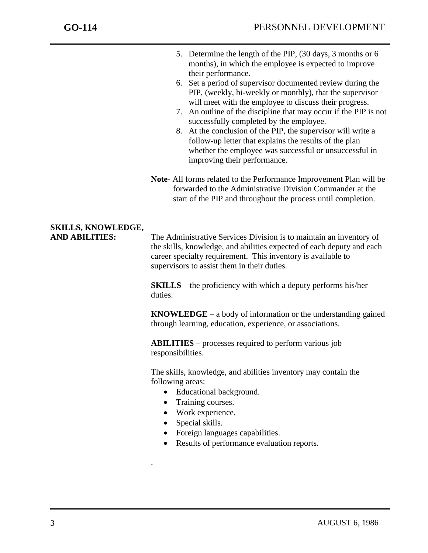j

- 5. Determine the length of the PIP, (30 days, 3 months or 6 months), in which the employee is expected to improve their performance.
- 6. Set a period of supervisor documented review during the PIP, (weekly, bi-weekly or monthly), that the supervisor will meet with the employee to discuss their progress.
- 7. An outline of the discipline that may occur if the PIP is not successfully completed by the employee.
- 8. At the conclusion of the PIP, the supervisor will write a follow-up letter that explains the results of the plan whether the employee was successful or unsuccessful in improving their performance.
- **Note** All forms related to the Performance Improvement Plan will be forwarded to the Administrative Division Commander at the start of the PIP and throughout the process until completion.

## **SKILLS, KNOWLEDGE,**

**AND ABILITIES:** The Administrative Services Division is to maintain an inventory of the skills, knowledge, and abilities expected of each deputy and each career specialty requirement. This inventory is available to supervisors to assist them in their duties.

> **SKILLS** – the proficiency with which a deputy performs his/her duties.

**KNOWLEDGE** – a body of information or the understanding gained through learning, education, experience, or associations.

**ABILITIES** – processes required to perform various job responsibilities.

The skills, knowledge, and abilities inventory may contain the following areas:

- Educational background.
- Training courses.
- Work experience.
- Special skills.

.

- Foreign languages capabilities.
- Results of performance evaluation reports.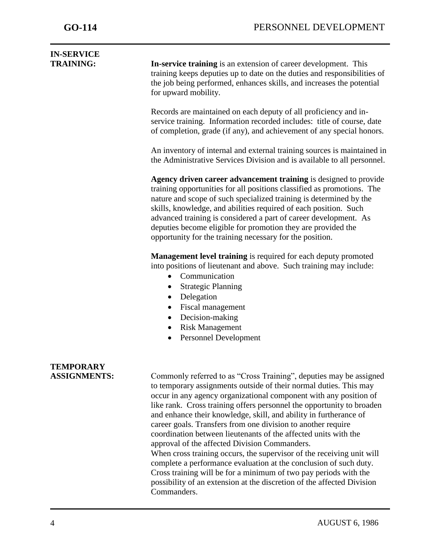j

| <b>IN-SERVICE</b><br><b>TRAINING:</b>   | In-service training is an extension of career development. This<br>training keeps deputies up to date on the duties and responsibilities of                                                                                                                                                                                                                                                                                                                                                                                                                                                                                                                                                                                                                                                                                                               |
|-----------------------------------------|-----------------------------------------------------------------------------------------------------------------------------------------------------------------------------------------------------------------------------------------------------------------------------------------------------------------------------------------------------------------------------------------------------------------------------------------------------------------------------------------------------------------------------------------------------------------------------------------------------------------------------------------------------------------------------------------------------------------------------------------------------------------------------------------------------------------------------------------------------------|
|                                         | the job being performed, enhances skills, and increases the potential<br>for upward mobility.                                                                                                                                                                                                                                                                                                                                                                                                                                                                                                                                                                                                                                                                                                                                                             |
|                                         | Records are maintained on each deputy of all proficiency and in-<br>service training. Information recorded includes: title of course, date<br>of completion, grade (if any), and achievement of any special honors.                                                                                                                                                                                                                                                                                                                                                                                                                                                                                                                                                                                                                                       |
|                                         | An inventory of internal and external training sources is maintained in<br>the Administrative Services Division and is available to all personnel.                                                                                                                                                                                                                                                                                                                                                                                                                                                                                                                                                                                                                                                                                                        |
|                                         | Agency driven career advancement training is designed to provide<br>training opportunities for all positions classified as promotions. The<br>nature and scope of such specialized training is determined by the<br>skills, knowledge, and abilities required of each position. Such<br>advanced training is considered a part of career development. As<br>deputies become eligible for promotion they are provided the<br>opportunity for the training necessary for the position.                                                                                                                                                                                                                                                                                                                                                                      |
|                                         | <b>Management level training</b> is required for each deputy promoted<br>into positions of lieutenant and above. Such training may include:<br>Communication<br>$\bullet$<br><b>Strategic Planning</b><br>Delegation<br>$\bullet$<br>Fiscal management<br>$\bullet$<br>Decision-making<br>$\bullet$<br><b>Risk Management</b><br>$\bullet$<br>Personnel Development<br>$\bullet$                                                                                                                                                                                                                                                                                                                                                                                                                                                                          |
| <b>TEMPORARY</b><br><b>ASSIGNMENTS:</b> | Commonly referred to as "Cross Training", deputies may be assigned<br>to temporary assignments outside of their normal duties. This may<br>occur in any agency organizational component with any position of<br>like rank. Cross training offers personnel the opportunity to broaden<br>and enhance their knowledge, skill, and ability in furtherance of<br>career goals. Transfers from one division to another require<br>coordination between lieutenants of the affected units with the<br>approval of the affected Division Commanders.<br>When cross training occurs, the supervisor of the receiving unit will<br>complete a performance evaluation at the conclusion of such duty.<br>Cross training will be for a minimum of two pay periods with the<br>possibility of an extension at the discretion of the affected Division<br>Commanders. |